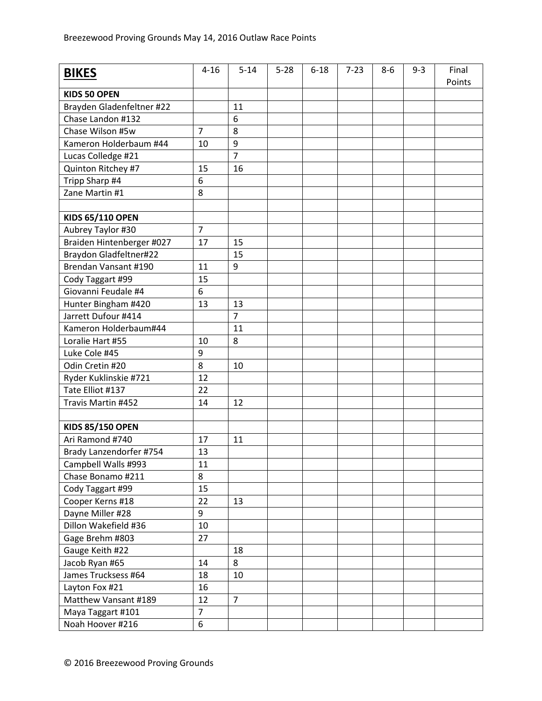| <b>BIKES</b>              | $4 - 16$       | $5 - 14$       | $5 - 28$ | $6 - 18$ | $7 - 23$ | $8-6$ | $9 - 3$ | Final  |
|---------------------------|----------------|----------------|----------|----------|----------|-------|---------|--------|
| <b>KIDS 50 OPEN</b>       |                |                |          |          |          |       |         | Points |
| Brayden Gladenfeltner #22 |                | 11             |          |          |          |       |         |        |
| Chase Landon #132         |                | 6              |          |          |          |       |         |        |
| Chase Wilson #5w          | $\overline{7}$ | 8              |          |          |          |       |         |        |
| Kameron Holderbaum #44    | 10             | 9              |          |          |          |       |         |        |
| Lucas Colledge #21        |                | $\overline{7}$ |          |          |          |       |         |        |
| Quinton Ritchey #7        | 15             | 16             |          |          |          |       |         |        |
| Tripp Sharp #4            | 6              |                |          |          |          |       |         |        |
| Zane Martin #1            | 8              |                |          |          |          |       |         |        |
|                           |                |                |          |          |          |       |         |        |
| <b>KIDS 65/110 OPEN</b>   |                |                |          |          |          |       |         |        |
| Aubrey Taylor #30         | $\overline{7}$ |                |          |          |          |       |         |        |
| Braiden Hintenberger #027 | 17             | 15             |          |          |          |       |         |        |
| Braydon Gladfeltner#22    |                | 15             |          |          |          |       |         |        |
| Brendan Vansant #190      | 11             | 9              |          |          |          |       |         |        |
| Cody Taggart #99          | 15             |                |          |          |          |       |         |        |
| Giovanni Feudale #4       | 6              |                |          |          |          |       |         |        |
| Hunter Bingham #420       | 13             | 13             |          |          |          |       |         |        |
| Jarrett Dufour #414       |                | $\overline{7}$ |          |          |          |       |         |        |
| Kameron Holderbaum#44     |                | 11             |          |          |          |       |         |        |
| Loralie Hart #55          | 10             | 8              |          |          |          |       |         |        |
| Luke Cole #45             | 9              |                |          |          |          |       |         |        |
| Odin Cretin #20           | 8              | 10             |          |          |          |       |         |        |
| Ryder Kuklinskie #721     | 12             |                |          |          |          |       |         |        |
| Tate Elliot #137          | 22             |                |          |          |          |       |         |        |
| Travis Martin #452        | 14             | 12             |          |          |          |       |         |        |
|                           |                |                |          |          |          |       |         |        |
| <b>KIDS 85/150 OPEN</b>   |                |                |          |          |          |       |         |        |
| Ari Ramond #740           | 17             | 11             |          |          |          |       |         |        |
| Brady Lanzendorfer #754   | 13             |                |          |          |          |       |         |        |
| Campbell Walls #993       | 11             |                |          |          |          |       |         |        |
| Chase Bonamo #211         | 8              |                |          |          |          |       |         |        |
| Cody Taggart #99          | 15             |                |          |          |          |       |         |        |
| Cooper Kerns #18          | 22             | 13             |          |          |          |       |         |        |
| Dayne Miller #28          | 9              |                |          |          |          |       |         |        |
| Dillon Wakefield #36      | 10             |                |          |          |          |       |         |        |
| Gage Brehm #803           | 27             |                |          |          |          |       |         |        |
| Gauge Keith #22           |                | 18             |          |          |          |       |         |        |
| Jacob Ryan #65            | 14             | 8              |          |          |          |       |         |        |
| James Trucksess #64       | 18             | 10             |          |          |          |       |         |        |
| Layton Fox #21            | 16             |                |          |          |          |       |         |        |
| Matthew Vansant #189      | 12             | $\overline{7}$ |          |          |          |       |         |        |
| Maya Taggart #101         | $\overline{7}$ |                |          |          |          |       |         |        |
| Noah Hoover #216          | 6              |                |          |          |          |       |         |        |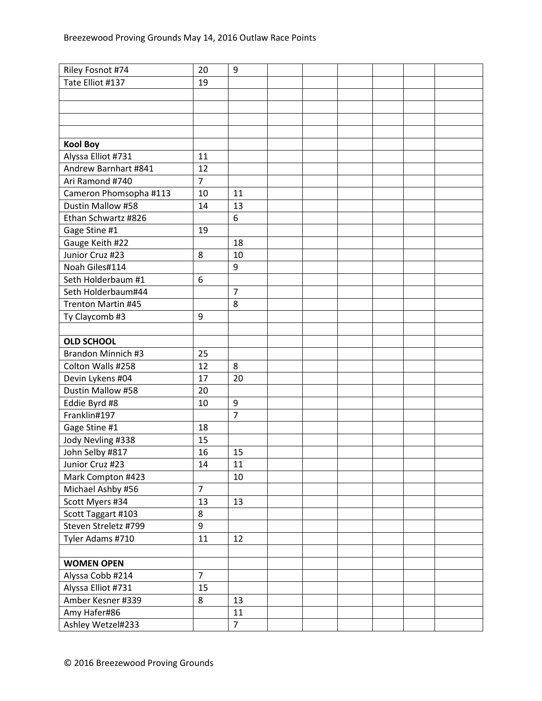| Tate Elliot #137<br>19<br><b>Kool Boy</b><br>Alyssa Elliot #731<br>11<br>Andrew Barnhart #841<br>12<br>$\overline{7}$<br>Ari Ramond #740<br>Cameron Phomsopha #113<br>10<br>11<br>Dustin Mallow #58<br>13<br>14<br>Ethan Schwartz #826<br>6<br>Gage Stine #1<br>19<br>Gauge Keith #22<br>18<br>Junior Cruz #23<br>10<br>8<br>Noah Giles#114<br>9<br>Seth Holderbaum #1<br>6<br>$\overline{7}$<br>Seth Holderbaum#44<br><b>Trenton Martin #45</b><br>8<br>Ty Claycomb #3<br>9<br><b>OLD SCHOOL</b><br><b>Brandon Minnich #3</b><br>25<br>Colton Walls #258<br>12<br>8<br>20<br>Devin Lykens #04<br>17<br>Dustin Mallow #58<br>20<br>Eddie Byrd #8<br>9<br>10<br>$\overline{7}$<br>Franklin#197<br>Gage Stine #1<br>18<br>Jody Nevling #338<br>15<br>John Selby #817<br>16<br>15<br>Junior Cruz #23<br>14<br>11<br>Mark Compton #423<br>10<br>$\overline{7}$<br>Michael Ashby #56<br>Scott Myers #34<br>13<br>13<br>8<br>Scott Taggart #103<br>Steven Streletz #799<br>9<br>Tyler Adams #710<br>11<br>12<br><b>WOMEN OPEN</b><br>Alyssa Cobb #214<br>$\overline{7}$<br>Alyssa Elliot #731<br>15<br>Amber Kesner #339<br>8<br>13<br>Amy Hafer#86<br>11<br>Ashley Wetzel#233<br>$\overline{7}$ | Riley Fosnot #74 | 20 | 9 |  |  |  |
|--------------------------------------------------------------------------------------------------------------------------------------------------------------------------------------------------------------------------------------------------------------------------------------------------------------------------------------------------------------------------------------------------------------------------------------------------------------------------------------------------------------------------------------------------------------------------------------------------------------------------------------------------------------------------------------------------------------------------------------------------------------------------------------------------------------------------------------------------------------------------------------------------------------------------------------------------------------------------------------------------------------------------------------------------------------------------------------------------------------------------------------------------------------------------------------------|------------------|----|---|--|--|--|
|                                                                                                                                                                                                                                                                                                                                                                                                                                                                                                                                                                                                                                                                                                                                                                                                                                                                                                                                                                                                                                                                                                                                                                                            |                  |    |   |  |  |  |
|                                                                                                                                                                                                                                                                                                                                                                                                                                                                                                                                                                                                                                                                                                                                                                                                                                                                                                                                                                                                                                                                                                                                                                                            |                  |    |   |  |  |  |
|                                                                                                                                                                                                                                                                                                                                                                                                                                                                                                                                                                                                                                                                                                                                                                                                                                                                                                                                                                                                                                                                                                                                                                                            |                  |    |   |  |  |  |
|                                                                                                                                                                                                                                                                                                                                                                                                                                                                                                                                                                                                                                                                                                                                                                                                                                                                                                                                                                                                                                                                                                                                                                                            |                  |    |   |  |  |  |
|                                                                                                                                                                                                                                                                                                                                                                                                                                                                                                                                                                                                                                                                                                                                                                                                                                                                                                                                                                                                                                                                                                                                                                                            |                  |    |   |  |  |  |
|                                                                                                                                                                                                                                                                                                                                                                                                                                                                                                                                                                                                                                                                                                                                                                                                                                                                                                                                                                                                                                                                                                                                                                                            |                  |    |   |  |  |  |
|                                                                                                                                                                                                                                                                                                                                                                                                                                                                                                                                                                                                                                                                                                                                                                                                                                                                                                                                                                                                                                                                                                                                                                                            |                  |    |   |  |  |  |
|                                                                                                                                                                                                                                                                                                                                                                                                                                                                                                                                                                                                                                                                                                                                                                                                                                                                                                                                                                                                                                                                                                                                                                                            |                  |    |   |  |  |  |
|                                                                                                                                                                                                                                                                                                                                                                                                                                                                                                                                                                                                                                                                                                                                                                                                                                                                                                                                                                                                                                                                                                                                                                                            |                  |    |   |  |  |  |
|                                                                                                                                                                                                                                                                                                                                                                                                                                                                                                                                                                                                                                                                                                                                                                                                                                                                                                                                                                                                                                                                                                                                                                                            |                  |    |   |  |  |  |
|                                                                                                                                                                                                                                                                                                                                                                                                                                                                                                                                                                                                                                                                                                                                                                                                                                                                                                                                                                                                                                                                                                                                                                                            |                  |    |   |  |  |  |
|                                                                                                                                                                                                                                                                                                                                                                                                                                                                                                                                                                                                                                                                                                                                                                                                                                                                                                                                                                                                                                                                                                                                                                                            |                  |    |   |  |  |  |
|                                                                                                                                                                                                                                                                                                                                                                                                                                                                                                                                                                                                                                                                                                                                                                                                                                                                                                                                                                                                                                                                                                                                                                                            |                  |    |   |  |  |  |
|                                                                                                                                                                                                                                                                                                                                                                                                                                                                                                                                                                                                                                                                                                                                                                                                                                                                                                                                                                                                                                                                                                                                                                                            |                  |    |   |  |  |  |
|                                                                                                                                                                                                                                                                                                                                                                                                                                                                                                                                                                                                                                                                                                                                                                                                                                                                                                                                                                                                                                                                                                                                                                                            |                  |    |   |  |  |  |
|                                                                                                                                                                                                                                                                                                                                                                                                                                                                                                                                                                                                                                                                                                                                                                                                                                                                                                                                                                                                                                                                                                                                                                                            |                  |    |   |  |  |  |
|                                                                                                                                                                                                                                                                                                                                                                                                                                                                                                                                                                                                                                                                                                                                                                                                                                                                                                                                                                                                                                                                                                                                                                                            |                  |    |   |  |  |  |
|                                                                                                                                                                                                                                                                                                                                                                                                                                                                                                                                                                                                                                                                                                                                                                                                                                                                                                                                                                                                                                                                                                                                                                                            |                  |    |   |  |  |  |
|                                                                                                                                                                                                                                                                                                                                                                                                                                                                                                                                                                                                                                                                                                                                                                                                                                                                                                                                                                                                                                                                                                                                                                                            |                  |    |   |  |  |  |
|                                                                                                                                                                                                                                                                                                                                                                                                                                                                                                                                                                                                                                                                                                                                                                                                                                                                                                                                                                                                                                                                                                                                                                                            |                  |    |   |  |  |  |
|                                                                                                                                                                                                                                                                                                                                                                                                                                                                                                                                                                                                                                                                                                                                                                                                                                                                                                                                                                                                                                                                                                                                                                                            |                  |    |   |  |  |  |
|                                                                                                                                                                                                                                                                                                                                                                                                                                                                                                                                                                                                                                                                                                                                                                                                                                                                                                                                                                                                                                                                                                                                                                                            |                  |    |   |  |  |  |
|                                                                                                                                                                                                                                                                                                                                                                                                                                                                                                                                                                                                                                                                                                                                                                                                                                                                                                                                                                                                                                                                                                                                                                                            |                  |    |   |  |  |  |
|                                                                                                                                                                                                                                                                                                                                                                                                                                                                                                                                                                                                                                                                                                                                                                                                                                                                                                                                                                                                                                                                                                                                                                                            |                  |    |   |  |  |  |
|                                                                                                                                                                                                                                                                                                                                                                                                                                                                                                                                                                                                                                                                                                                                                                                                                                                                                                                                                                                                                                                                                                                                                                                            |                  |    |   |  |  |  |
|                                                                                                                                                                                                                                                                                                                                                                                                                                                                                                                                                                                                                                                                                                                                                                                                                                                                                                                                                                                                                                                                                                                                                                                            |                  |    |   |  |  |  |
|                                                                                                                                                                                                                                                                                                                                                                                                                                                                                                                                                                                                                                                                                                                                                                                                                                                                                                                                                                                                                                                                                                                                                                                            |                  |    |   |  |  |  |
|                                                                                                                                                                                                                                                                                                                                                                                                                                                                                                                                                                                                                                                                                                                                                                                                                                                                                                                                                                                                                                                                                                                                                                                            |                  |    |   |  |  |  |
|                                                                                                                                                                                                                                                                                                                                                                                                                                                                                                                                                                                                                                                                                                                                                                                                                                                                                                                                                                                                                                                                                                                                                                                            |                  |    |   |  |  |  |
|                                                                                                                                                                                                                                                                                                                                                                                                                                                                                                                                                                                                                                                                                                                                                                                                                                                                                                                                                                                                                                                                                                                                                                                            |                  |    |   |  |  |  |
|                                                                                                                                                                                                                                                                                                                                                                                                                                                                                                                                                                                                                                                                                                                                                                                                                                                                                                                                                                                                                                                                                                                                                                                            |                  |    |   |  |  |  |
|                                                                                                                                                                                                                                                                                                                                                                                                                                                                                                                                                                                                                                                                                                                                                                                                                                                                                                                                                                                                                                                                                                                                                                                            |                  |    |   |  |  |  |
|                                                                                                                                                                                                                                                                                                                                                                                                                                                                                                                                                                                                                                                                                                                                                                                                                                                                                                                                                                                                                                                                                                                                                                                            |                  |    |   |  |  |  |
|                                                                                                                                                                                                                                                                                                                                                                                                                                                                                                                                                                                                                                                                                                                                                                                                                                                                                                                                                                                                                                                                                                                                                                                            |                  |    |   |  |  |  |
|                                                                                                                                                                                                                                                                                                                                                                                                                                                                                                                                                                                                                                                                                                                                                                                                                                                                                                                                                                                                                                                                                                                                                                                            |                  |    |   |  |  |  |
|                                                                                                                                                                                                                                                                                                                                                                                                                                                                                                                                                                                                                                                                                                                                                                                                                                                                                                                                                                                                                                                                                                                                                                                            |                  |    |   |  |  |  |
|                                                                                                                                                                                                                                                                                                                                                                                                                                                                                                                                                                                                                                                                                                                                                                                                                                                                                                                                                                                                                                                                                                                                                                                            |                  |    |   |  |  |  |
|                                                                                                                                                                                                                                                                                                                                                                                                                                                                                                                                                                                                                                                                                                                                                                                                                                                                                                                                                                                                                                                                                                                                                                                            |                  |    |   |  |  |  |
|                                                                                                                                                                                                                                                                                                                                                                                                                                                                                                                                                                                                                                                                                                                                                                                                                                                                                                                                                                                                                                                                                                                                                                                            |                  |    |   |  |  |  |
|                                                                                                                                                                                                                                                                                                                                                                                                                                                                                                                                                                                                                                                                                                                                                                                                                                                                                                                                                                                                                                                                                                                                                                                            |                  |    |   |  |  |  |
|                                                                                                                                                                                                                                                                                                                                                                                                                                                                                                                                                                                                                                                                                                                                                                                                                                                                                                                                                                                                                                                                                                                                                                                            |                  |    |   |  |  |  |
|                                                                                                                                                                                                                                                                                                                                                                                                                                                                                                                                                                                                                                                                                                                                                                                                                                                                                                                                                                                                                                                                                                                                                                                            |                  |    |   |  |  |  |
|                                                                                                                                                                                                                                                                                                                                                                                                                                                                                                                                                                                                                                                                                                                                                                                                                                                                                                                                                                                                                                                                                                                                                                                            |                  |    |   |  |  |  |
|                                                                                                                                                                                                                                                                                                                                                                                                                                                                                                                                                                                                                                                                                                                                                                                                                                                                                                                                                                                                                                                                                                                                                                                            |                  |    |   |  |  |  |
|                                                                                                                                                                                                                                                                                                                                                                                                                                                                                                                                                                                                                                                                                                                                                                                                                                                                                                                                                                                                                                                                                                                                                                                            |                  |    |   |  |  |  |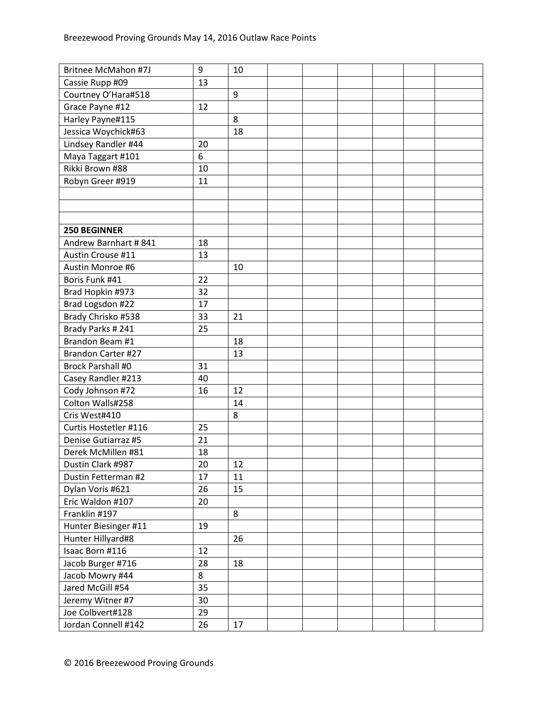| <b>Britnee McMahon #7J</b> | 9  | 10 |  |  |  |
|----------------------------|----|----|--|--|--|
| Cassie Rupp #09            | 13 |    |  |  |  |
| Courtney O'Hara#518        |    | 9  |  |  |  |
| Grace Payne #12            | 12 |    |  |  |  |
| Harley Payne#115           |    | 8  |  |  |  |
| Jessica Woychick#63        |    | 18 |  |  |  |
| Lindsey Randler #44        | 20 |    |  |  |  |
| Maya Taggart #101          | 6  |    |  |  |  |
| Rikki Brown #88            | 10 |    |  |  |  |
| Robyn Greer #919           | 11 |    |  |  |  |
|                            |    |    |  |  |  |
|                            |    |    |  |  |  |
|                            |    |    |  |  |  |
| <b>250 BEGINNER</b>        |    |    |  |  |  |
| Andrew Barnhart #841       | 18 |    |  |  |  |
| Austin Crouse #11          | 13 |    |  |  |  |
| Austin Monroe #6           |    | 10 |  |  |  |
| Boris Funk #41             | 22 |    |  |  |  |
| Brad Hopkin #973           | 32 |    |  |  |  |
| Brad Logsdon #22           | 17 |    |  |  |  |
| Brady Chrisko #538         | 33 | 21 |  |  |  |
| Brady Parks #241           | 25 |    |  |  |  |
| Brandon Beam #1            |    | 18 |  |  |  |
| Brandon Carter #27         |    | 13 |  |  |  |
| <b>Brock Parshall #0</b>   | 31 |    |  |  |  |
| Casey Randler #213         | 40 |    |  |  |  |
| Cody Johnson #72           | 16 | 12 |  |  |  |
| Colton Walls#258           |    | 14 |  |  |  |
| Cris West#410              |    | 8  |  |  |  |
| Curtis Hostetler #116      | 25 |    |  |  |  |
| Denise Gutiarraz #5        | 21 |    |  |  |  |
| Derek McMillen #81         | 18 |    |  |  |  |
| Dustin Clark #987          | 20 | 12 |  |  |  |
| Dustin Fetterman #2        | 17 | 11 |  |  |  |
| Dylan Voris #621           | 26 | 15 |  |  |  |
| Eric Waldon #107           | 20 |    |  |  |  |
| Franklin #197              |    | 8  |  |  |  |
| Hunter Biesinger #11       | 19 |    |  |  |  |
| Hunter Hillyard#8          |    | 26 |  |  |  |
| Isaac Born #116            | 12 |    |  |  |  |
| Jacob Burger #716          | 28 | 18 |  |  |  |
| Jacob Mowry #44            | 8  |    |  |  |  |
| Jared McGill #54           | 35 |    |  |  |  |
| Jeremy Witner #7           | 30 |    |  |  |  |
| Joe Colbvert#128           | 29 |    |  |  |  |
| Jordan Connell #142        | 26 | 17 |  |  |  |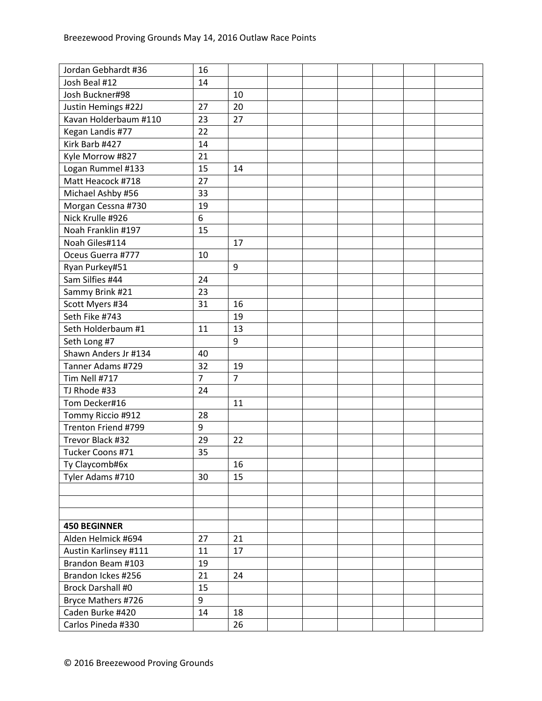| Jordan Gebhardt #36      | 16             |                |  |  |  |
|--------------------------|----------------|----------------|--|--|--|
| Josh Beal #12            | 14             |                |  |  |  |
| Josh Buckner#98          |                | 10             |  |  |  |
| Justin Hemings #22J      | 27             | 20             |  |  |  |
| Kavan Holderbaum #110    | 23             | 27             |  |  |  |
| Kegan Landis #77         | 22             |                |  |  |  |
| Kirk Barb #427           | 14             |                |  |  |  |
| Kyle Morrow #827         | 21             |                |  |  |  |
| Logan Rummel #133        | 15             | 14             |  |  |  |
| Matt Heacock #718        | 27             |                |  |  |  |
| Michael Ashby #56        | 33             |                |  |  |  |
| Morgan Cessna #730       | 19             |                |  |  |  |
| Nick Krulle #926         | 6              |                |  |  |  |
| Noah Franklin #197       | 15             |                |  |  |  |
| Noah Giles#114           |                | 17             |  |  |  |
| Oceus Guerra #777        | 10             |                |  |  |  |
| Ryan Purkey#51           |                | 9              |  |  |  |
| Sam Silfies #44          | 24             |                |  |  |  |
| Sammy Brink #21          | 23             |                |  |  |  |
| Scott Myers #34          | 31             | 16             |  |  |  |
| Seth Fike #743           |                | 19             |  |  |  |
| Seth Holderbaum #1       | 11             | 13             |  |  |  |
| Seth Long #7             |                | 9              |  |  |  |
| Shawn Anders Jr #134     | 40             |                |  |  |  |
| Tanner Adams #729        | 32             | 19             |  |  |  |
| Tim Nell #717            | $\overline{7}$ | $\overline{7}$ |  |  |  |
| TJ Rhode #33             | 24             |                |  |  |  |
| Tom Decker#16            |                | 11             |  |  |  |
| Tommy Riccio #912        | 28             |                |  |  |  |
| Trenton Friend #799      | 9              |                |  |  |  |
| Trevor Black #32         | 29             | 22             |  |  |  |
| Tucker Coons #71         | 35             |                |  |  |  |
| Ty Claycomb#6x           |                | 16             |  |  |  |
| Tyler Adams #710         | 30             | 15             |  |  |  |
|                          |                |                |  |  |  |
|                          |                |                |  |  |  |
|                          |                |                |  |  |  |
| <b>450 BEGINNER</b>      |                |                |  |  |  |
| Alden Helmick #694       | 27             | 21             |  |  |  |
| Austin Karlinsey #111    | 11             | 17             |  |  |  |
| Brandon Beam #103        | 19             |                |  |  |  |
| Brandon Ickes #256       | 21             | 24             |  |  |  |
| <b>Brock Darshall #0</b> | 15             |                |  |  |  |
| Bryce Mathers #726       | 9              |                |  |  |  |
| Caden Burke #420         | 14             | 18             |  |  |  |
| Carlos Pineda #330       |                | 26             |  |  |  |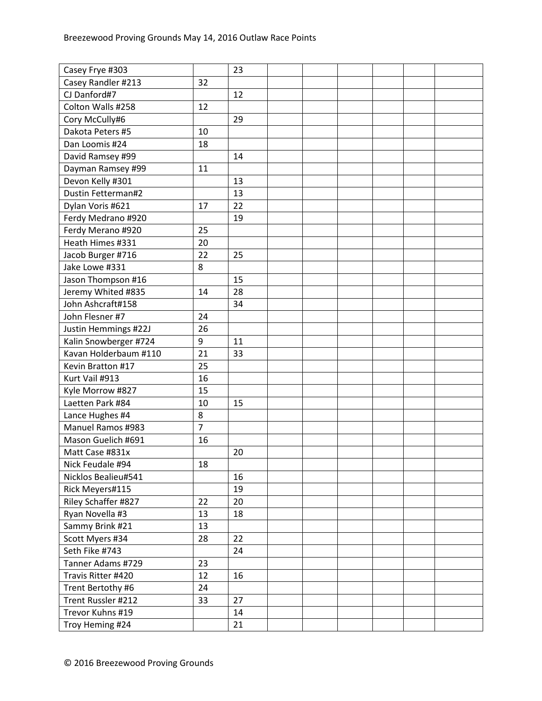| Casey Frye #303          | 32             | 23 |  |  |  |
|--------------------------|----------------|----|--|--|--|
| Casey Randler #213       |                |    |  |  |  |
| CJ Danford#7             |                | 12 |  |  |  |
| Colton Walls #258        | 12             |    |  |  |  |
| Cory McCully#6           |                | 29 |  |  |  |
| Dakota Peters #5         | 10             |    |  |  |  |
| Dan Loomis #24           | 18             |    |  |  |  |
| David Ramsey #99         |                | 14 |  |  |  |
| Dayman Ramsey #99        | 11             |    |  |  |  |
| Devon Kelly #301         |                | 13 |  |  |  |
| Dustin Fetterman#2       |                | 13 |  |  |  |
| Dylan Voris #621         | 17             | 22 |  |  |  |
| Ferdy Medrano #920       |                | 19 |  |  |  |
| Ferdy Merano #920        | 25             |    |  |  |  |
| Heath Himes #331         | 20             |    |  |  |  |
| Jacob Burger #716        | 22             | 25 |  |  |  |
| Jake Lowe #331           | 8              |    |  |  |  |
| Jason Thompson #16       |                | 15 |  |  |  |
| Jeremy Whited #835       | 14             | 28 |  |  |  |
| John Ashcraft#158        |                | 34 |  |  |  |
| John Flesner #7          | 24             |    |  |  |  |
| Justin Hemmings #22J     | 26             |    |  |  |  |
| Kalin Snowberger #724    | 9              | 11 |  |  |  |
| Kavan Holderbaum #110    | 21             | 33 |  |  |  |
| Kevin Bratton #17        | 25             |    |  |  |  |
| Kurt Vail #913           | 16             |    |  |  |  |
| Kyle Morrow #827         | 15             |    |  |  |  |
| Laetten Park #84         | 10             | 15 |  |  |  |
| Lance Hughes #4          | 8              |    |  |  |  |
| <b>Manuel Ramos #983</b> | $\overline{7}$ |    |  |  |  |
| Mason Guelich #691       | 16             |    |  |  |  |
| Matt Case #831x          |                | 20 |  |  |  |
| Nick Feudale #94         | 18             |    |  |  |  |
| Nicklos Bealieu#541      |                | 16 |  |  |  |
|                          |                |    |  |  |  |
| Rick Meyers#115          |                | 19 |  |  |  |
| Riley Schaffer #827      | 22             | 20 |  |  |  |
| Ryan Novella #3          | 13             | 18 |  |  |  |
| Sammy Brink #21          | 13             |    |  |  |  |
| Scott Myers #34          | 28             | 22 |  |  |  |
| Seth Fike #743           |                | 24 |  |  |  |
| Tanner Adams #729        | 23             |    |  |  |  |
| Travis Ritter #420       | 12             | 16 |  |  |  |
| Trent Bertothy #6        | 24             |    |  |  |  |
| Trent Russler #212       | 33             | 27 |  |  |  |
| Trevor Kuhns #19         |                | 14 |  |  |  |
| Troy Heming #24          |                | 21 |  |  |  |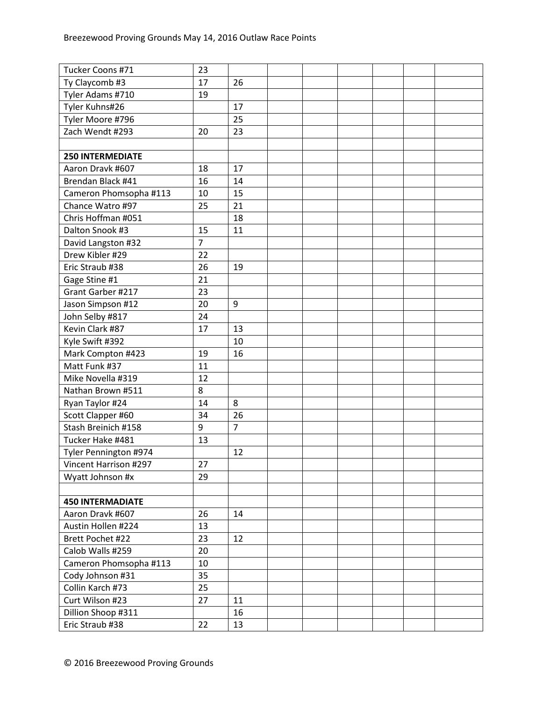| Tucker Coons #71        | 23             |                |  |  |  |
|-------------------------|----------------|----------------|--|--|--|
| Ty Claycomb #3          | 17             | 26             |  |  |  |
| Tyler Adams #710        | 19             |                |  |  |  |
| Tyler Kuhns#26          |                | 17             |  |  |  |
| Tyler Moore #796        |                | 25             |  |  |  |
| Zach Wendt #293         | 20             | 23             |  |  |  |
|                         |                |                |  |  |  |
| <b>250 INTERMEDIATE</b> |                |                |  |  |  |
| Aaron Dravk #607        | 18             | 17             |  |  |  |
| Brendan Black #41       | 16             | 14             |  |  |  |
| Cameron Phomsopha #113  | 10             | 15             |  |  |  |
| Chance Watro #97        | 25             | 21             |  |  |  |
| Chris Hoffman #051      |                | 18             |  |  |  |
| Dalton Snook #3         | 15             | 11             |  |  |  |
| David Langston #32      | $\overline{7}$ |                |  |  |  |
| Drew Kibler #29         | 22             |                |  |  |  |
| Eric Straub #38         | 26             | 19             |  |  |  |
| Gage Stine #1           | 21             |                |  |  |  |
| Grant Garber #217       | 23             |                |  |  |  |
| Jason Simpson #12       | 20             | 9              |  |  |  |
| John Selby #817         | 24             |                |  |  |  |
| Kevin Clark #87         | 17             | 13             |  |  |  |
| Kyle Swift #392         |                | 10             |  |  |  |
| Mark Compton #423       | 19             | 16             |  |  |  |
| Matt Funk #37           | 11             |                |  |  |  |
| Mike Novella #319       | 12             |                |  |  |  |
| Nathan Brown #511       | 8              |                |  |  |  |
| Ryan Taylor #24         | 14             | 8              |  |  |  |
| Scott Clapper #60       | 34             | 26             |  |  |  |
| Stash Breinich #158     | 9              | $\overline{7}$ |  |  |  |
| Tucker Hake #481        | 13             |                |  |  |  |
| Tyler Pennington #974   |                | 12             |  |  |  |
| Vincent Harrison #297   | 27             |                |  |  |  |
| Wyatt Johnson #x        | 29             |                |  |  |  |
|                         |                |                |  |  |  |
| <b>450 INTERMADIATE</b> |                |                |  |  |  |
| Aaron Dravk #607        | 26             | 14             |  |  |  |
| Austin Hollen #224      | 13             |                |  |  |  |
| Brett Pochet #22        | 23             | 12             |  |  |  |
| Calob Walls #259        | 20             |                |  |  |  |
| Cameron Phomsopha #113  | 10             |                |  |  |  |
| Cody Johnson #31        | 35             |                |  |  |  |
| Collin Karch #73        | 25             |                |  |  |  |
| Curt Wilson #23         | 27             | 11             |  |  |  |
| Dillion Shoop #311      |                | 16             |  |  |  |
| Eric Straub #38         | 22             | 13             |  |  |  |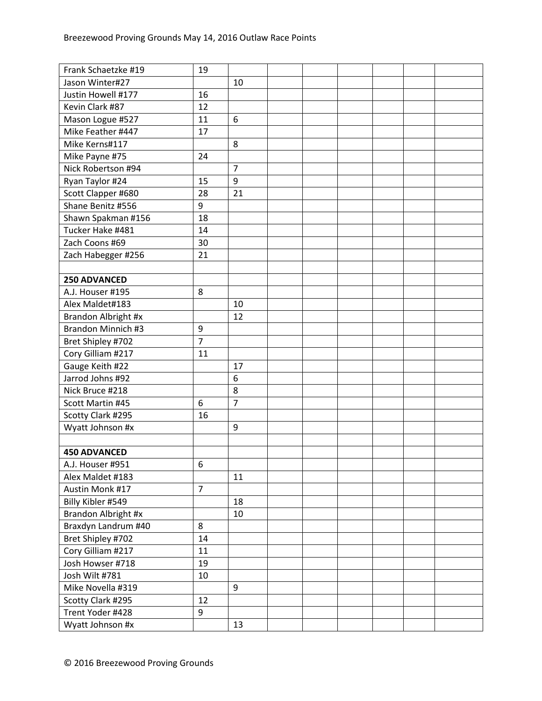| Frank Schaetzke #19 | 19             |                |  |  |  |
|---------------------|----------------|----------------|--|--|--|
| Jason Winter#27     |                | 10             |  |  |  |
| Justin Howell #177  | 16             |                |  |  |  |
| Kevin Clark #87     | 12             |                |  |  |  |
| Mason Logue #527    | 11             | 6              |  |  |  |
| Mike Feather #447   | 17             |                |  |  |  |
| Mike Kerns#117      |                | 8              |  |  |  |
| Mike Payne #75      | 24             |                |  |  |  |
| Nick Robertson #94  |                | $\overline{7}$ |  |  |  |
| Ryan Taylor #24     | 15             | 9              |  |  |  |
| Scott Clapper #680  | 28             | 21             |  |  |  |
| Shane Benitz #556   | 9              |                |  |  |  |
| Shawn Spakman #156  | 18             |                |  |  |  |
| Tucker Hake #481    | 14             |                |  |  |  |
| Zach Coons #69      | 30             |                |  |  |  |
| Zach Habegger #256  | 21             |                |  |  |  |
|                     |                |                |  |  |  |
| 250 ADVANCED        |                |                |  |  |  |
| A.J. Houser #195    | 8              |                |  |  |  |
| Alex Maldet#183     |                | 10             |  |  |  |
| Brandon Albright #x |                | 12             |  |  |  |
| Brandon Minnich #3  | 9              |                |  |  |  |
| Bret Shipley #702   | $\overline{7}$ |                |  |  |  |
| Cory Gilliam #217   | 11             |                |  |  |  |
| Gauge Keith #22     |                | 17             |  |  |  |
| Jarrod Johns #92    |                | 6              |  |  |  |
| Nick Bruce #218     |                | 8              |  |  |  |
| Scott Martin #45    | 6              | $\overline{7}$ |  |  |  |
| Scotty Clark #295   | 16             |                |  |  |  |
| Wyatt Johnson #x    |                | 9              |  |  |  |
|                     |                |                |  |  |  |
| <b>450 ADVANCED</b> |                |                |  |  |  |
| A.J. Houser #951    | 6              |                |  |  |  |
| Alex Maldet #183    |                | 11             |  |  |  |
| Austin Monk #17     | $\overline{7}$ |                |  |  |  |
| Billy Kibler #549   |                | 18             |  |  |  |
| Brandon Albright #x |                | 10             |  |  |  |
| Braxdyn Landrum #40 | 8              |                |  |  |  |
| Bret Shipley #702   | 14             |                |  |  |  |
| Cory Gilliam #217   | 11             |                |  |  |  |
| Josh Howser #718    | 19             |                |  |  |  |
| Josh Wilt #781      | 10             |                |  |  |  |
| Mike Novella #319   |                | 9              |  |  |  |
| Scotty Clark #295   | 12             |                |  |  |  |
| Trent Yoder #428    | 9              |                |  |  |  |
| Wyatt Johnson #x    |                | 13             |  |  |  |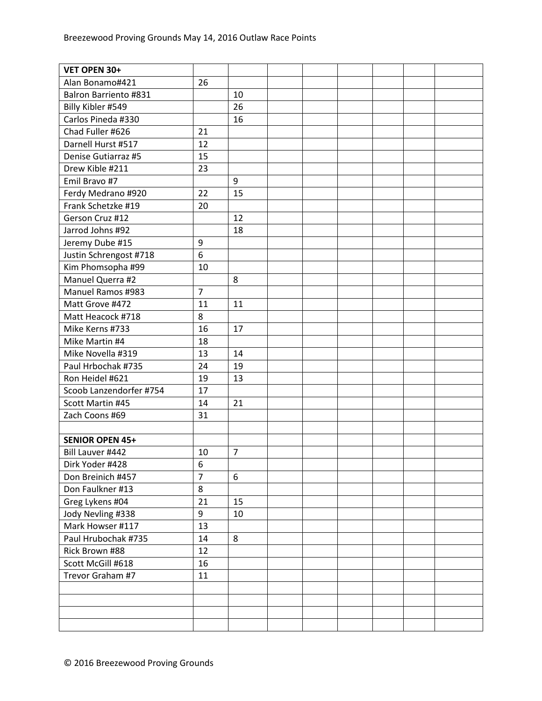| VET OPEN 30+                 |                  |                |  |  |  |
|------------------------------|------------------|----------------|--|--|--|
| Alan Bonamo#421              | 26               |                |  |  |  |
| <b>Balron Barriento #831</b> |                  | 10             |  |  |  |
| Billy Kibler #549            |                  | 26             |  |  |  |
| Carlos Pineda #330           |                  | 16             |  |  |  |
| Chad Fuller #626             | 21               |                |  |  |  |
| Darnell Hurst #517           | 12               |                |  |  |  |
| Denise Gutiarraz #5          | 15               |                |  |  |  |
| Drew Kible #211              | 23               |                |  |  |  |
| Emil Bravo #7                |                  | 9              |  |  |  |
| Ferdy Medrano #920           | 22               | 15             |  |  |  |
| Frank Schetzke #19           | 20               |                |  |  |  |
| Gerson Cruz #12              |                  | 12             |  |  |  |
| Jarrod Johns #92             |                  | 18             |  |  |  |
| Jeremy Dube #15              | 9                |                |  |  |  |
| Justin Schrengost #718       | $6\phantom{1}$   |                |  |  |  |
| Kim Phomsopha #99            | 10               |                |  |  |  |
| Manuel Querra #2             |                  | 8              |  |  |  |
| Manuel Ramos #983            | $\overline{7}$   |                |  |  |  |
| Matt Grove #472              | 11               | 11             |  |  |  |
| Matt Heacock #718            | 8                |                |  |  |  |
| Mike Kerns #733              | 16               | 17             |  |  |  |
| Mike Martin #4               | 18               |                |  |  |  |
| Mike Novella #319            | 13               | 14             |  |  |  |
| Paul Hrbochak #735           | 24               | 19             |  |  |  |
| Ron Heidel #621              | 19               | 13             |  |  |  |
| Scoob Lanzendorfer #754      | 17               |                |  |  |  |
| Scott Martin #45             | 14               | 21             |  |  |  |
| Zach Coons #69               | 31               |                |  |  |  |
|                              |                  |                |  |  |  |
| <b>SENIOR OPEN 45+</b>       |                  |                |  |  |  |
| Bill Lauver #442             | 10               | $\overline{7}$ |  |  |  |
| Dirk Yoder #428              | $\boldsymbol{6}$ |                |  |  |  |
| Don Breinich #457            | $\overline{7}$   | 6              |  |  |  |
| Don Faulkner #13             | 8                |                |  |  |  |
| Greg Lykens #04              | 21               | 15             |  |  |  |
| Jody Nevling #338            | 9                | 10             |  |  |  |
| Mark Howser #117             | 13               |                |  |  |  |
| Paul Hrubochak #735          | 14               | 8              |  |  |  |
| Rick Brown #88               | 12               |                |  |  |  |
| Scott McGill #618            | 16               |                |  |  |  |
| Trevor Graham #7             | 11               |                |  |  |  |
|                              |                  |                |  |  |  |
|                              |                  |                |  |  |  |
|                              |                  |                |  |  |  |
|                              |                  |                |  |  |  |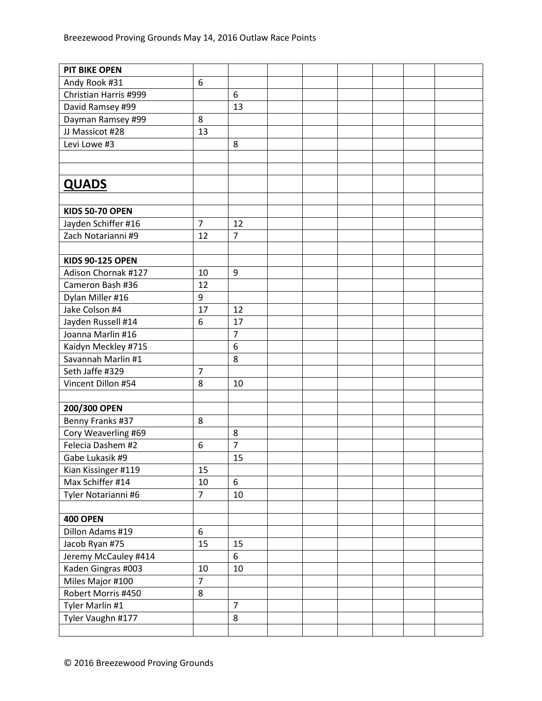| <b>PIT BIKE OPEN</b>                      |                |                |  |  |  |
|-------------------------------------------|----------------|----------------|--|--|--|
| Andy Rook #31                             | 6              |                |  |  |  |
| Christian Harris #999                     |                | 6              |  |  |  |
| David Ramsey #99                          |                | 13             |  |  |  |
| Dayman Ramsey #99                         | 8              |                |  |  |  |
| JJ Massicot #28                           | 13             |                |  |  |  |
| Levi Lowe #3                              |                | 8              |  |  |  |
|                                           |                |                |  |  |  |
|                                           |                |                |  |  |  |
| <b>QUADS</b>                              |                |                |  |  |  |
|                                           |                |                |  |  |  |
| <b>KIDS 50-70 OPEN</b>                    |                |                |  |  |  |
|                                           | $\overline{7}$ | 12             |  |  |  |
| Jayden Schiffer #16<br>Zach Notarianni #9 |                | $\overline{7}$ |  |  |  |
|                                           | 12             |                |  |  |  |
| <b>KIDS 90-125 OPEN</b>                   |                |                |  |  |  |
| Adison Chornak #127                       | 10             | 9              |  |  |  |
| Cameron Bash #36                          | 12             |                |  |  |  |
|                                           |                |                |  |  |  |
| Dylan Miller #16                          | 9              |                |  |  |  |
| Jake Colson #4                            | 17             | 12             |  |  |  |
| Jayden Russell #14                        | 6              | 17             |  |  |  |
| Joanna Marlin #16                         |                | $\overline{7}$ |  |  |  |
| Kaidyn Meckley #715                       |                | 6              |  |  |  |
| Savannah Marlin #1                        |                | 8              |  |  |  |
| Seth Jaffe #329                           | $\overline{7}$ |                |  |  |  |
| Vincent Dillon #54                        | 8              | 10             |  |  |  |
|                                           |                |                |  |  |  |
| 200/300 OPEN                              |                |                |  |  |  |
| Benny Franks #37                          | 8              |                |  |  |  |
| Cory Weaverling #69                       |                | 8              |  |  |  |
| Felecia Dashem #2                         | 6              | $\overline{7}$ |  |  |  |
| Gabe Lukasik #9                           |                | 15             |  |  |  |
| Kian Kissinger #119                       | 15             |                |  |  |  |
| Max Schiffer #14                          | 10             | 6              |  |  |  |
| Tyler Notarianni #6                       | $\overline{7}$ | 10             |  |  |  |
|                                           |                |                |  |  |  |
| <b>400 OPEN</b>                           |                |                |  |  |  |
| Dillon Adams #19                          | 6              |                |  |  |  |
| Jacob Ryan #75                            | 15             | 15             |  |  |  |
| Jeremy McCauley #414                      |                | 6              |  |  |  |
| Kaden Gingras #003                        | 10             | 10             |  |  |  |
| Miles Major #100                          | $\overline{7}$ |                |  |  |  |
| Robert Morris #450                        | 8              |                |  |  |  |
| Tyler Marlin #1                           |                | $\overline{7}$ |  |  |  |
| Tyler Vaughn #177                         |                | 8              |  |  |  |
|                                           |                |                |  |  |  |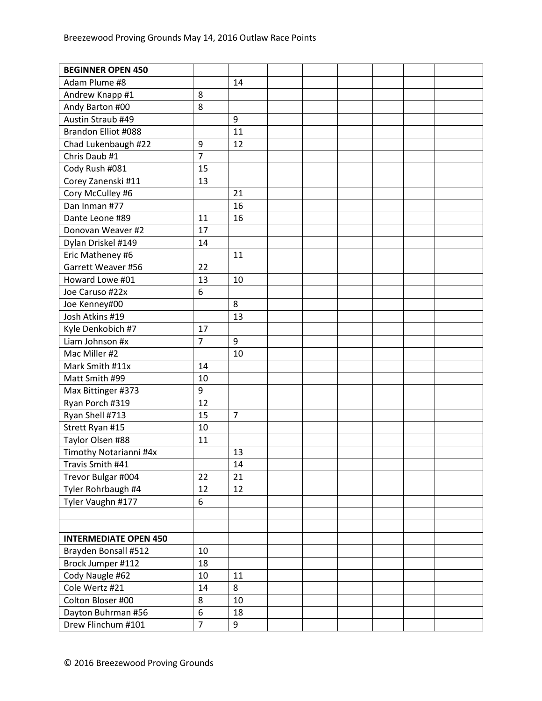| <b>BEGINNER OPEN 450</b>     |                |                |  |  |  |
|------------------------------|----------------|----------------|--|--|--|
| Adam Plume #8                |                | 14             |  |  |  |
| Andrew Knapp #1              | 8              |                |  |  |  |
| Andy Barton #00              | 8              |                |  |  |  |
| Austin Straub #49            |                | 9              |  |  |  |
| Brandon Elliot #088          |                | 11             |  |  |  |
| Chad Lukenbaugh #22          | 9              | 12             |  |  |  |
| Chris Daub #1                | $\overline{7}$ |                |  |  |  |
| Cody Rush #081               | 15             |                |  |  |  |
| Corey Zanenski #11           | 13             |                |  |  |  |
| Cory McCulley #6             |                | 21             |  |  |  |
| Dan Inman #77                |                | 16             |  |  |  |
| Dante Leone #89              | 11             | 16             |  |  |  |
| Donovan Weaver #2            | 17             |                |  |  |  |
| Dylan Driskel #149           | 14             |                |  |  |  |
| Eric Matheney #6             |                | 11             |  |  |  |
| Garrett Weaver #56           | 22             |                |  |  |  |
| Howard Lowe #01              | 13             | 10             |  |  |  |
| Joe Caruso #22x              | 6              |                |  |  |  |
| Joe Kenney#00                |                | 8              |  |  |  |
| Josh Atkins #19              |                | 13             |  |  |  |
| Kyle Denkobich #7            | 17             |                |  |  |  |
| Liam Johnson #x              | $\overline{7}$ | 9              |  |  |  |
| Mac Miller #2                |                | 10             |  |  |  |
| Mark Smith #11x              | 14             |                |  |  |  |
| Matt Smith #99               | 10             |                |  |  |  |
| Max Bittinger #373           | $9\,$          |                |  |  |  |
| Ryan Porch #319              | 12             |                |  |  |  |
| Ryan Shell #713              | 15             | $\overline{7}$ |  |  |  |
| Strett Ryan #15              | 10             |                |  |  |  |
| Taylor Olsen #88             | 11             |                |  |  |  |
| Timothy Notarianni #4x       |                | 13             |  |  |  |
| Travis Smith #41             |                | 14             |  |  |  |
| Trevor Bulgar #004           | 22             | 21             |  |  |  |
| Tyler Rohrbaugh #4           | 12             | 12             |  |  |  |
| Tyler Vaughn #177            | 6              |                |  |  |  |
|                              |                |                |  |  |  |
|                              |                |                |  |  |  |
| <b>INTERMEDIATE OPEN 450</b> |                |                |  |  |  |
| Brayden Bonsall #512         | 10             |                |  |  |  |
| Brock Jumper #112            | 18             |                |  |  |  |
| Cody Naugle #62              | 10             | 11             |  |  |  |
| Cole Wertz #21               | 14             | 8              |  |  |  |
| Colton Bloser #00            | 8              | 10             |  |  |  |
| Dayton Buhrman #56           | 6              | 18             |  |  |  |
| Drew Flinchum #101           | $\overline{7}$ | 9              |  |  |  |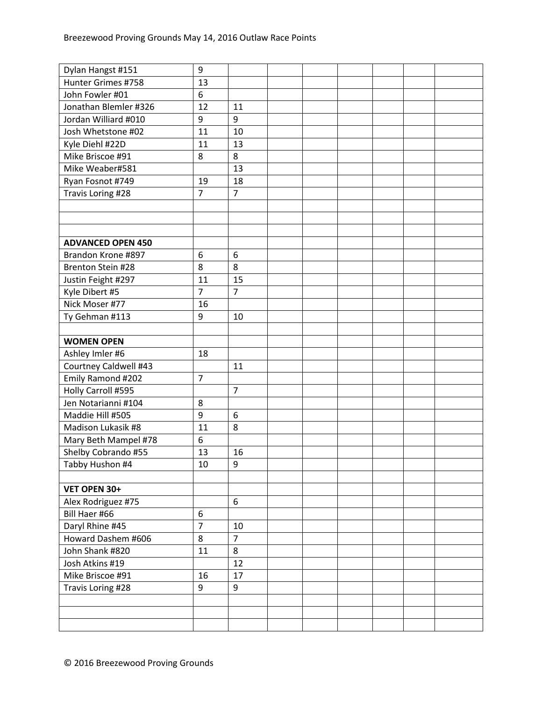| Dylan Hangst #151        | 9              |                |  |  |  |
|--------------------------|----------------|----------------|--|--|--|
| Hunter Grimes #758       | 13             |                |  |  |  |
| John Fowler #01          | 6              |                |  |  |  |
| Jonathan Blemler #326    | 12             | 11             |  |  |  |
| Jordan Williard #010     | 9              | 9              |  |  |  |
| Josh Whetstone #02       | 11             | 10             |  |  |  |
| Kyle Diehl #22D          | 11             | 13             |  |  |  |
| Mike Briscoe #91         | 8              | 8              |  |  |  |
| Mike Weaber#581          |                | 13             |  |  |  |
| Ryan Fosnot #749         | 19             | 18             |  |  |  |
| Travis Loring #28        | $\overline{7}$ | $\overline{7}$ |  |  |  |
|                          |                |                |  |  |  |
|                          |                |                |  |  |  |
|                          |                |                |  |  |  |
| <b>ADVANCED OPEN 450</b> |                |                |  |  |  |
| Brandon Krone #897       | 6              | 6              |  |  |  |
| Brenton Stein #28        | 8              | 8              |  |  |  |
| Justin Feight #297       | 11             | 15             |  |  |  |
| Kyle Dibert #5           | $\overline{7}$ | $\overline{7}$ |  |  |  |
| Nick Moser #77           | 16             |                |  |  |  |
| Ty Gehman #113           | 9              | 10             |  |  |  |
|                          |                |                |  |  |  |
| <b>WOMEN OPEN</b>        |                |                |  |  |  |
| Ashley Imler #6          | 18             |                |  |  |  |
| Courtney Caldwell #43    |                | 11             |  |  |  |
| Emily Ramond #202        | $\overline{7}$ |                |  |  |  |
| Holly Carroll #595       |                | $\overline{7}$ |  |  |  |
| Jen Notarianni #104      | 8              |                |  |  |  |
| Maddie Hill #505         | 9              | 6              |  |  |  |
| Madison Lukasik #8       | 11             | 8              |  |  |  |
| Mary Beth Mampel #78     | 6              |                |  |  |  |
| Shelby Cobrando #55      | 13             | 16             |  |  |  |
| Tabby Hushon #4          | 10             | 9              |  |  |  |
|                          |                |                |  |  |  |
| VET OPEN 30+             |                |                |  |  |  |
| Alex Rodriguez #75       |                | 6              |  |  |  |
| Bill Haer #66            | 6              |                |  |  |  |
| Daryl Rhine #45          | $\overline{7}$ | 10             |  |  |  |
| Howard Dashem #606       | 8              | $\overline{7}$ |  |  |  |
| John Shank #820          | 11             | 8              |  |  |  |
|                          |                |                |  |  |  |
| Josh Atkins #19          |                | 12             |  |  |  |
| Mike Briscoe #91         | 16             | 17             |  |  |  |
| Travis Loring #28        | 9              | 9              |  |  |  |
|                          |                |                |  |  |  |
|                          |                |                |  |  |  |
|                          |                |                |  |  |  |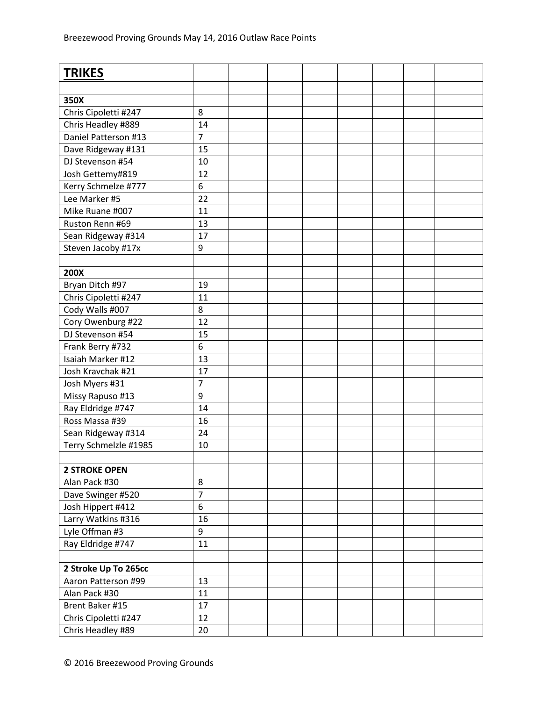| <b>TRIKES</b>         |                |  |  |  |  |
|-----------------------|----------------|--|--|--|--|
|                       |                |  |  |  |  |
| 350X                  |                |  |  |  |  |
| Chris Cipoletti #247  | 8              |  |  |  |  |
| Chris Headley #889    | 14             |  |  |  |  |
| Daniel Patterson #13  | $\overline{7}$ |  |  |  |  |
| Dave Ridgeway #131    | 15             |  |  |  |  |
| DJ Stevenson #54      | 10             |  |  |  |  |
| Josh Gettemy#819      | 12             |  |  |  |  |
| Kerry Schmelze #777   | 6              |  |  |  |  |
| Lee Marker #5         | 22             |  |  |  |  |
| Mike Ruane #007       | 11             |  |  |  |  |
| Ruston Renn #69       | 13             |  |  |  |  |
| Sean Ridgeway #314    | 17             |  |  |  |  |
| Steven Jacoby #17x    | 9              |  |  |  |  |
|                       |                |  |  |  |  |
| 200X                  |                |  |  |  |  |
|                       | 19             |  |  |  |  |
| Bryan Ditch #97       |                |  |  |  |  |
| Chris Cipoletti #247  | 11<br>8        |  |  |  |  |
| Cody Walls #007       |                |  |  |  |  |
| Cory Owenburg #22     | 12             |  |  |  |  |
| DJ Stevenson #54      | 15             |  |  |  |  |
| Frank Berry #732      | 6              |  |  |  |  |
| Isaiah Marker #12     | 13             |  |  |  |  |
| Josh Kravchak #21     | 17             |  |  |  |  |
| Josh Myers #31        | $\overline{7}$ |  |  |  |  |
| Missy Rapuso #13      | 9              |  |  |  |  |
| Ray Eldridge #747     | 14             |  |  |  |  |
| Ross Massa #39        | 16             |  |  |  |  |
| Sean Ridgeway #314    | 24             |  |  |  |  |
| Terry Schmelzle #1985 | 10             |  |  |  |  |
|                       |                |  |  |  |  |
| <b>2 STROKE OPEN</b>  |                |  |  |  |  |
| Alan Pack #30         | 8              |  |  |  |  |
| Dave Swinger #520     | $\overline{7}$ |  |  |  |  |
| Josh Hippert #412     | 6              |  |  |  |  |
| Larry Watkins #316    | 16             |  |  |  |  |
| Lyle Offman #3        | 9              |  |  |  |  |
| Ray Eldridge #747     | 11             |  |  |  |  |
|                       |                |  |  |  |  |
| 2 Stroke Up To 265cc  |                |  |  |  |  |
| Aaron Patterson #99   | 13             |  |  |  |  |
| Alan Pack #30         | 11             |  |  |  |  |
| Brent Baker #15       | 17             |  |  |  |  |
| Chris Cipoletti #247  | 12             |  |  |  |  |
| Chris Headley #89     | 20             |  |  |  |  |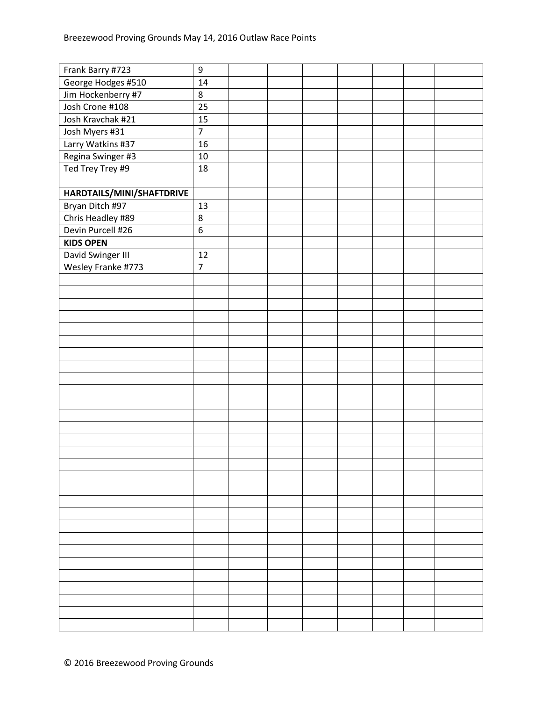| Frank Barry #723          | $\boldsymbol{9}$ |  |  |  |  |
|---------------------------|------------------|--|--|--|--|
| George Hodges #510        | 14               |  |  |  |  |
| Jim Hockenberry #7        | $\,8\,$          |  |  |  |  |
| Josh Crone #108           | 25               |  |  |  |  |
| Josh Kravchak #21         | 15               |  |  |  |  |
| Josh Myers #31            | $\overline{7}$   |  |  |  |  |
| Larry Watkins #37         | 16               |  |  |  |  |
| Regina Swinger #3         | $10\,$           |  |  |  |  |
| Ted Trey Trey #9          | 18               |  |  |  |  |
|                           |                  |  |  |  |  |
| HARDTAILS/MINI/SHAFTDRIVE |                  |  |  |  |  |
| Bryan Ditch #97           | 13               |  |  |  |  |
| Chris Headley #89         | $\,8\,$          |  |  |  |  |
| Devin Purcell #26         | 6                |  |  |  |  |
| <b>KIDS OPEN</b>          |                  |  |  |  |  |
| David Swinger III         | 12               |  |  |  |  |
| Wesley Franke #773        | $\overline{7}$   |  |  |  |  |
|                           |                  |  |  |  |  |
|                           |                  |  |  |  |  |
|                           |                  |  |  |  |  |
|                           |                  |  |  |  |  |
|                           |                  |  |  |  |  |
|                           |                  |  |  |  |  |
|                           |                  |  |  |  |  |
|                           |                  |  |  |  |  |
|                           |                  |  |  |  |  |
|                           |                  |  |  |  |  |
|                           |                  |  |  |  |  |
|                           |                  |  |  |  |  |
|                           |                  |  |  |  |  |
|                           |                  |  |  |  |  |
|                           |                  |  |  |  |  |
|                           |                  |  |  |  |  |
|                           |                  |  |  |  |  |
|                           |                  |  |  |  |  |
|                           |                  |  |  |  |  |
|                           |                  |  |  |  |  |
|                           |                  |  |  |  |  |
|                           |                  |  |  |  |  |
|                           |                  |  |  |  |  |
|                           |                  |  |  |  |  |
|                           |                  |  |  |  |  |
|                           |                  |  |  |  |  |
|                           |                  |  |  |  |  |
|                           |                  |  |  |  |  |
|                           |                  |  |  |  |  |
|                           |                  |  |  |  |  |